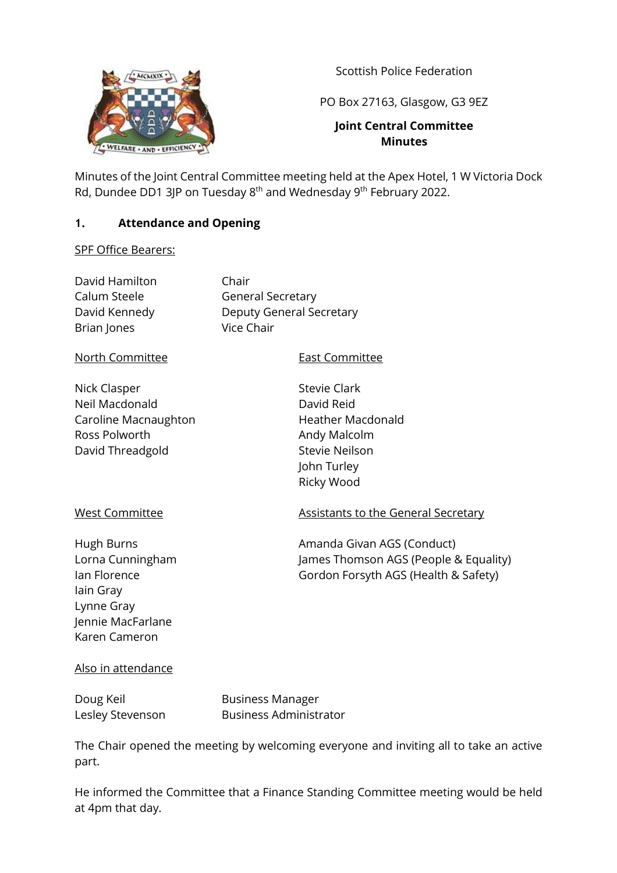Scottish Police Federation



PO Box 27163, Glasgow, G3 9EZ

### **Joint Central Committee Minutes**

Minutes of the Joint Central Committee meeting held at the Apex Hotel, 1 W Victoria Dock Rd, Dundee DD1 3JP on Tuesday 8<sup>th</sup> and Wednesday 9<sup>th</sup> February 2022.

### **1. Attendance and Opening**

#### SPF Office Bearers:

| David Hamilton<br>Calum Steele<br>David Kennedy<br>Brian Jones                                                  | Chair<br><b>General Secretary</b><br><b>Deputy General Secretary</b><br>Vice Chair                                                  |  |  |
|-----------------------------------------------------------------------------------------------------------------|-------------------------------------------------------------------------------------------------------------------------------------|--|--|
| North Committee                                                                                                 | <b>East Committee</b>                                                                                                               |  |  |
| Nick Clasper<br>Neil Macdonald<br>Caroline Macnaughton<br>Ross Polworth<br>David Threadgold                     | <b>Stevie Clark</b><br>David Reid<br><b>Heather Macdonald</b><br>Andy Malcolm<br><b>Stevie Neilson</b><br>John Turley<br>Ricky Wood |  |  |
| <b>West Committee</b>                                                                                           | <b>Assistants to the Ger</b>                                                                                                        |  |  |
| Hugh Burns<br>Lorna Cunningham<br>Ian Florence<br>lain Gray<br>Lynne Gray<br>Jennie MacFarlane<br>Karen Cameron | Amanda Givan AGS (<br>James Thomson AGS<br>Gordon Forsyth AGS                                                                       |  |  |

# neral Secretary

(Conduct)  $S$  (People & Equality) (Health & Safety)

### Also in attendance

Doug Keil **Business Manager** Lesley Stevenson Business Administrator

The Chair opened the meeting by welcoming everyone and inviting all to take an active part.

He informed the Committee that a Finance Standing Committee meeting would be held at 4pm that day.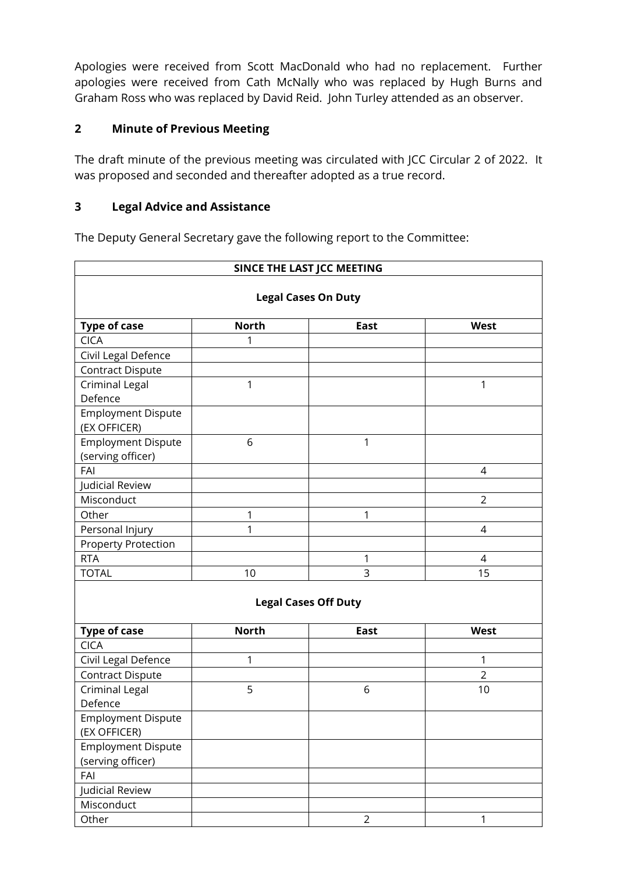Apologies were received from Scott MacDonald who had no replacement. Further apologies were received from Cath McNally who was replaced by Hugh Burns and Graham Ross who was replaced by David Reid. John Turley attended as an observer.

## **2 Minute of Previous Meeting**

The draft minute of the previous meeting was circulated with JCC Circular 2 of 2022. It was proposed and seconded and thereafter adopted as a true record.

## **3 Legal Advice and Assistance**

The Deputy General Secretary gave the following report to the Committee:

| SINCE THE LAST JCC MEETING<br><b>Legal Cases On Duty</b> |                             |                |                |  |  |
|----------------------------------------------------------|-----------------------------|----------------|----------------|--|--|
|                                                          |                             |                |                |  |  |
| <b>CICA</b>                                              | 1                           |                |                |  |  |
| Civil Legal Defence                                      |                             |                |                |  |  |
| <b>Contract Dispute</b>                                  |                             |                |                |  |  |
| <b>Criminal Legal</b>                                    | 1                           |                | 1              |  |  |
| Defence                                                  |                             |                |                |  |  |
| <b>Employment Dispute</b>                                |                             |                |                |  |  |
| (EX OFFICER)                                             |                             |                |                |  |  |
| <b>Employment Dispute</b>                                | 6                           | 1              |                |  |  |
| (serving officer)                                        |                             |                |                |  |  |
| FAI                                                      |                             |                | 4              |  |  |
| Judicial Review                                          |                             |                |                |  |  |
| Misconduct                                               |                             |                | $\overline{2}$ |  |  |
| Other                                                    | 1                           | 1              |                |  |  |
| Personal Injury                                          | 1                           |                | $\overline{4}$ |  |  |
| <b>Property Protection</b>                               |                             |                |                |  |  |
| <b>RTA</b>                                               |                             | 1              | 4              |  |  |
| <b>TOTAL</b>                                             | 10                          | 3              | 15             |  |  |
|                                                          | <b>Legal Cases Off Duty</b> |                |                |  |  |
| <b>Type of case</b>                                      | <b>North</b>                | <b>East</b>    | <b>West</b>    |  |  |
| <b>CICA</b>                                              |                             |                |                |  |  |
| Civil Legal Defence                                      | 1                           |                | 1              |  |  |
| <b>Contract Dispute</b>                                  |                             |                | $\overline{2}$ |  |  |
| <b>Criminal Legal</b>                                    | 5                           | 6              | 10             |  |  |
| Defence                                                  |                             |                |                |  |  |
| <b>Employment Dispute</b>                                |                             |                |                |  |  |
| (EX OFFICER)                                             |                             |                |                |  |  |
| <b>Employment Dispute</b>                                |                             |                |                |  |  |
| (serving officer)                                        |                             |                |                |  |  |
| FAI                                                      |                             |                |                |  |  |
| Judicial Review                                          |                             |                |                |  |  |
| Misconduct                                               |                             |                |                |  |  |
| Other                                                    |                             | $\overline{2}$ | 1              |  |  |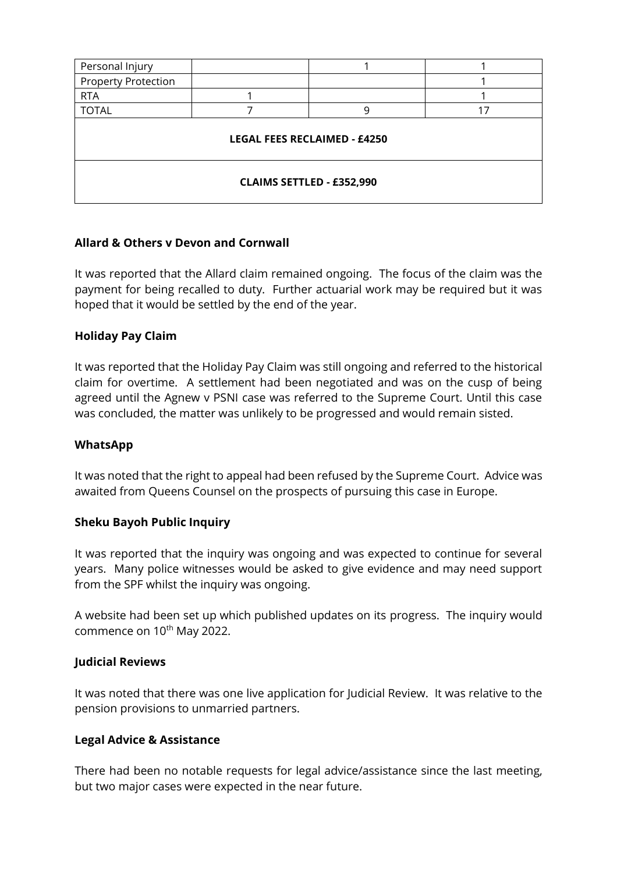| Personal Injury                     |  |   |    |  |  |  |
|-------------------------------------|--|---|----|--|--|--|
| <b>Property Protection</b>          |  |   |    |  |  |  |
| <b>RTA</b>                          |  |   |    |  |  |  |
| <b>TOTAL</b>                        |  | q | 17 |  |  |  |
| <b>LEGAL FEES RECLAIMED - £4250</b> |  |   |    |  |  |  |
| <b>CLAIMS SETTLED - £352,990</b>    |  |   |    |  |  |  |

### **Allard & Others v Devon and Cornwall**

It was reported that the Allard claim remained ongoing. The focus of the claim was the payment for being recalled to duty. Further actuarial work may be required but it was hoped that it would be settled by the end of the year.

### **Holiday Pay Claim**

It was reported that the Holiday Pay Claim was still ongoing and referred to the historical claim for overtime. A settlement had been negotiated and was on the cusp of being agreed until the Agnew v PSNI case was referred to the Supreme Court. Until this case was concluded, the matter was unlikely to be progressed and would remain sisted.

### **WhatsApp**

It was noted that the right to appeal had been refused by the Supreme Court. Advice was awaited from Queens Counsel on the prospects of pursuing this case in Europe.

### **Sheku Bayoh Public Inquiry**

It was reported that the inquiry was ongoing and was expected to continue for several years. Many police witnesses would be asked to give evidence and may need support from the SPF whilst the inquiry was ongoing.

A website had been set up which published updates on its progress. The inquiry would commence on 10<sup>th</sup> May 2022.

#### **Judicial Reviews**

It was noted that there was one live application for Judicial Review. It was relative to the pension provisions to unmarried partners.

### **Legal Advice & Assistance**

There had been no notable requests for legal advice/assistance since the last meeting, but two major cases were expected in the near future.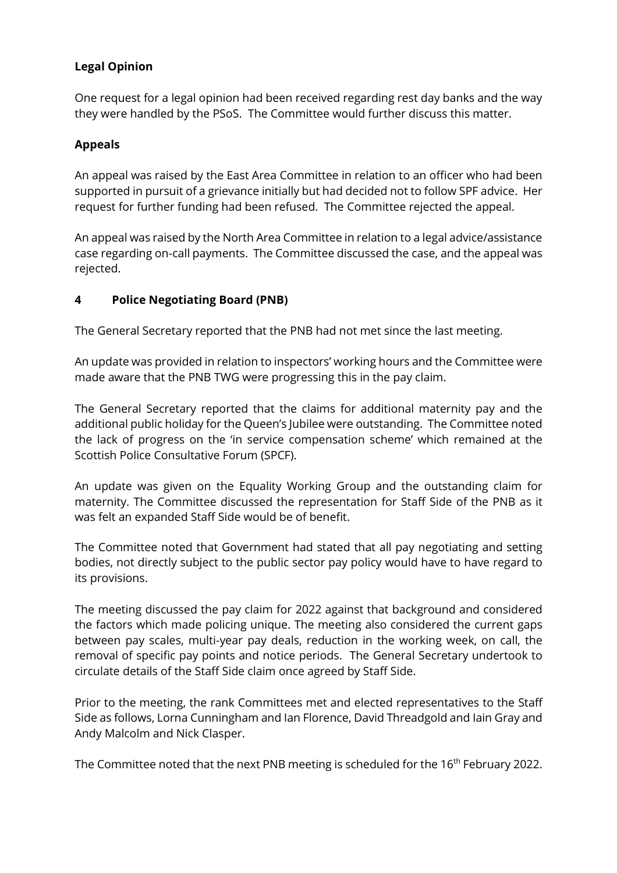## **Legal Opinion**

One request for a legal opinion had been received regarding rest day banks and the way they were handled by the PSoS. The Committee would further discuss this matter.

## **Appeals**

An appeal was raised by the East Area Committee in relation to an officer who had been supported in pursuit of a grievance initially but had decided not to follow SPF advice. Her request for further funding had been refused. The Committee rejected the appeal.

An appeal was raised by the North Area Committee in relation to a legal advice/assistance case regarding on-call payments. The Committee discussed the case, and the appeal was rejected.

## **4 Police Negotiating Board (PNB)**

The General Secretary reported that the PNB had not met since the last meeting.

An update was provided in relation to inspectors' working hours and the Committee were made aware that the PNB TWG were progressing this in the pay claim.

The General Secretary reported that the claims for additional maternity pay and the additional public holiday for the Queen's Jubilee were outstanding. The Committee noted the lack of progress on the 'in service compensation scheme' which remained at the Scottish Police Consultative Forum (SPCF).

An update was given on the Equality Working Group and the outstanding claim for maternity. The Committee discussed the representation for Staff Side of the PNB as it was felt an expanded Staff Side would be of benefit.

The Committee noted that Government had stated that all pay negotiating and setting bodies, not directly subject to the public sector pay policy would have to have regard to its provisions.

The meeting discussed the pay claim for 2022 against that background and considered the factors which made policing unique. The meeting also considered the current gaps between pay scales, multi-year pay deals, reduction in the working week, on call, the removal of specific pay points and notice periods. The General Secretary undertook to circulate details of the Staff Side claim once agreed by Staff Side.

Prior to the meeting, the rank Committees met and elected representatives to the Staff Side as follows, Lorna Cunningham and Ian Florence, David Threadgold and Iain Gray and Andy Malcolm and Nick Clasper.

The Committee noted that the next PNB meeting is scheduled for the 16<sup>th</sup> February 2022.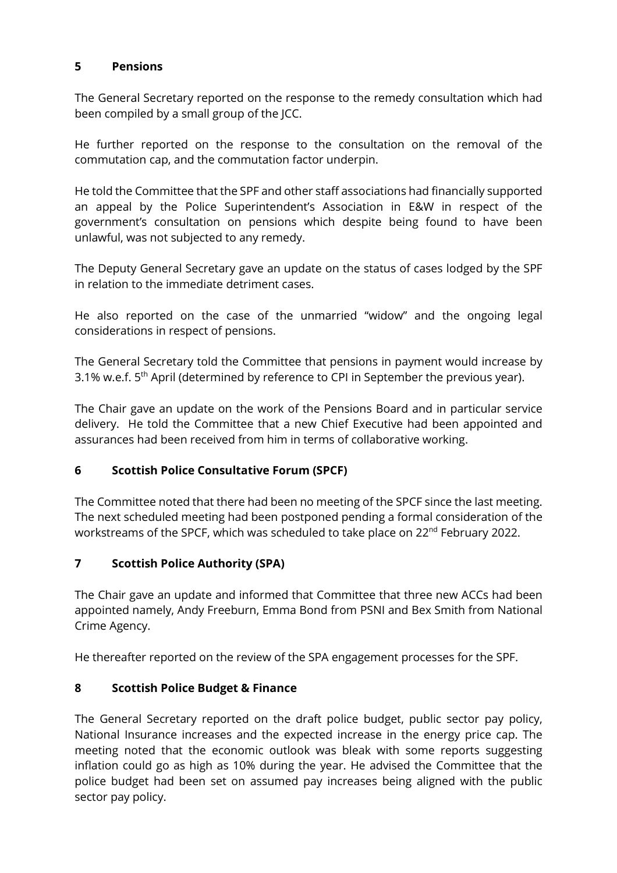### **5 Pensions**

The General Secretary reported on the response to the remedy consultation which had been compiled by a small group of the JCC.

He further reported on the response to the consultation on the removal of the commutation cap, and the commutation factor underpin.

He told the Committee that the SPF and other staff associations had financially supported an appeal by the Police Superintendent's Association in E&W in respect of the government's consultation on pensions which despite being found to have been unlawful, was not subjected to any remedy.

The Deputy General Secretary gave an update on the status of cases lodged by the SPF in relation to the immediate detriment cases.

He also reported on the case of the unmarried "widow" and the ongoing legal considerations in respect of pensions.

The General Secretary told the Committee that pensions in payment would increase by 3.1% w.e.f. 5<sup>th</sup> April (determined by reference to CPI in September the previous year).

The Chair gave an update on the work of the Pensions Board and in particular service delivery. He told the Committee that a new Chief Executive had been appointed and assurances had been received from him in terms of collaborative working.

## **6 Scottish Police Consultative Forum (SPCF)**

The Committee noted that there had been no meeting of the SPCF since the last meeting. The next scheduled meeting had been postponed pending a formal consideration of the workstreams of the SPCF, which was scheduled to take place on 22<sup>nd</sup> February 2022.

# **7 Scottish Police Authority (SPA)**

The Chair gave an update and informed that Committee that three new ACCs had been appointed namely, Andy Freeburn, Emma Bond from PSNI and Bex Smith from National Crime Agency.

He thereafter reported on the review of the SPA engagement processes for the SPF.

# **8 Scottish Police Budget & Finance**

The General Secretary reported on the draft police budget, public sector pay policy, National Insurance increases and the expected increase in the energy price cap. The meeting noted that the economic outlook was bleak with some reports suggesting inflation could go as high as 10% during the year. He advised the Committee that the police budget had been set on assumed pay increases being aligned with the public sector pay policy.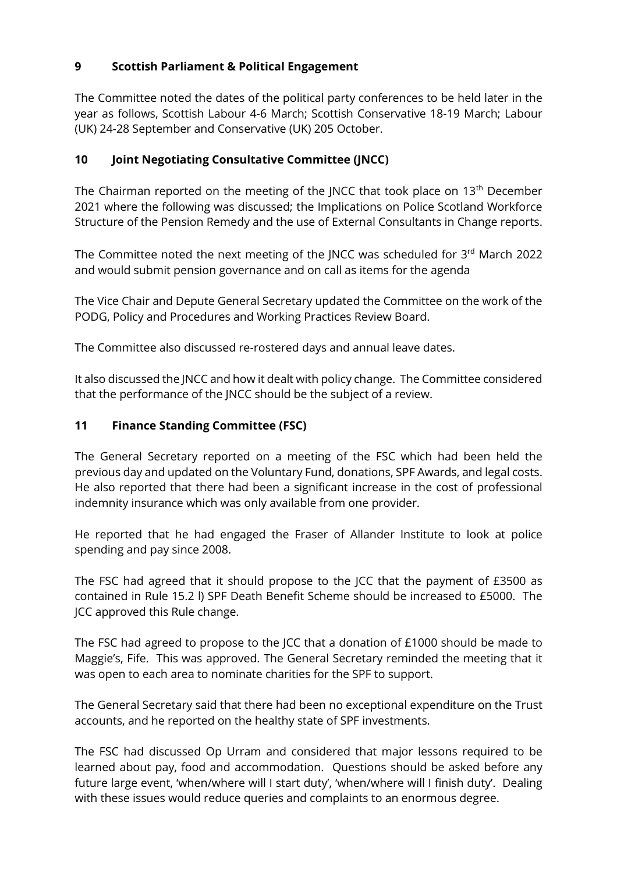## **9 Scottish Parliament & Political Engagement**

The Committee noted the dates of the political party conferences to be held later in the year as follows, Scottish Labour 4-6 March; Scottish Conservative 18-19 March; Labour (UK) 24-28 September and Conservative (UK) 205 October.

## **10 Joint Negotiating Consultative Committee (JNCC)**

The Chairman reported on the meeting of the JNCC that took place on  $13<sup>th</sup>$  December 2021 where the following was discussed; the Implications on Police Scotland Workforce Structure of the Pension Remedy and the use of External Consultants in Change reports.

The Committee noted the next meeting of the JNCC was scheduled for 3rd March 2022 and would submit pension governance and on call as items for the agenda

The Vice Chair and Depute General Secretary updated the Committee on the work of the PODG, Policy and Procedures and Working Practices Review Board.

The Committee also discussed re-rostered days and annual leave dates.

It also discussed the JNCC and how it dealt with policy change. The Committee considered that the performance of the JNCC should be the subject of a review.

## **11 Finance Standing Committee (FSC)**

The General Secretary reported on a meeting of the FSC which had been held the previous day and updated on the Voluntary Fund, donations, SPF Awards, and legal costs. He also reported that there had been a significant increase in the cost of professional indemnity insurance which was only available from one provider.

He reported that he had engaged the Fraser of Allander Institute to look at police spending and pay since 2008.

The FSC had agreed that it should propose to the JCC that the payment of £3500 as contained in Rule 15.2 l) SPF Death Benefit Scheme should be increased to £5000. The JCC approved this Rule change.

The FSC had agreed to propose to the JCC that a donation of £1000 should be made to Maggie's, Fife. This was approved. The General Secretary reminded the meeting that it was open to each area to nominate charities for the SPF to support.

The General Secretary said that there had been no exceptional expenditure on the Trust accounts, and he reported on the healthy state of SPF investments.

The FSC had discussed Op Urram and considered that major lessons required to be learned about pay, food and accommodation. Questions should be asked before any future large event, 'when/where will I start duty', 'when/where will I finish duty'. Dealing with these issues would reduce queries and complaints to an enormous degree.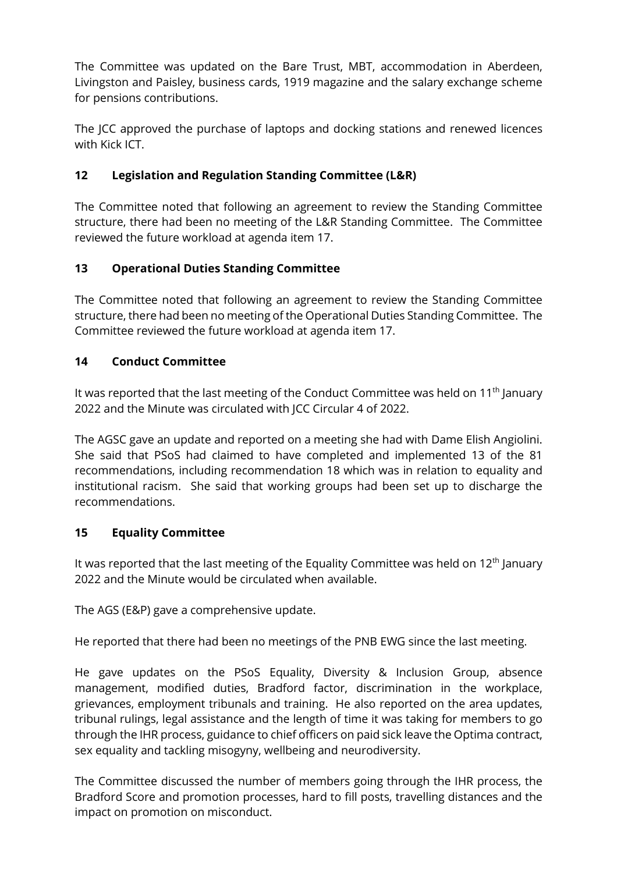The Committee was updated on the Bare Trust, MBT, accommodation in Aberdeen, Livingston and Paisley, business cards, 1919 magazine and the salary exchange scheme for pensions contributions.

The JCC approved the purchase of laptops and docking stations and renewed licences with Kick ICT.

# **12 Legislation and Regulation Standing Committee (L&R)**

The Committee noted that following an agreement to review the Standing Committee structure, there had been no meeting of the L&R Standing Committee. The Committee reviewed the future workload at agenda item 17.

## **13 Operational Duties Standing Committee**

The Committee noted that following an agreement to review the Standing Committee structure, there had been no meeting of the Operational Duties Standing Committee. The Committee reviewed the future workload at agenda item 17.

## **14 Conduct Committee**

It was reported that the last meeting of the Conduct Committee was held on 11<sup>th</sup> January 2022 and the Minute was circulated with JCC Circular 4 of 2022.

The AGSC gave an update and reported on a meeting she had with Dame Elish Angiolini. She said that PSoS had claimed to have completed and implemented 13 of the 81 recommendations, including recommendation 18 which was in relation to equality and institutional racism. She said that working groups had been set up to discharge the recommendations.

## **15 Equality Committee**

It was reported that the last meeting of the Equality Committee was held on  $12<sup>th</sup>$  January 2022 and the Minute would be circulated when available.

The AGS (E&P) gave a comprehensive update.

He reported that there had been no meetings of the PNB EWG since the last meeting.

He gave updates on the PSoS Equality, Diversity & Inclusion Group, absence management, modified duties, Bradford factor, discrimination in the workplace, grievances, employment tribunals and training. He also reported on the area updates, tribunal rulings, legal assistance and the length of time it was taking for members to go through the IHR process, guidance to chief officers on paid sick leave the Optima contract, sex equality and tackling misogyny, wellbeing and neurodiversity.

The Committee discussed the number of members going through the IHR process, the Bradford Score and promotion processes, hard to fill posts, travelling distances and the impact on promotion on misconduct.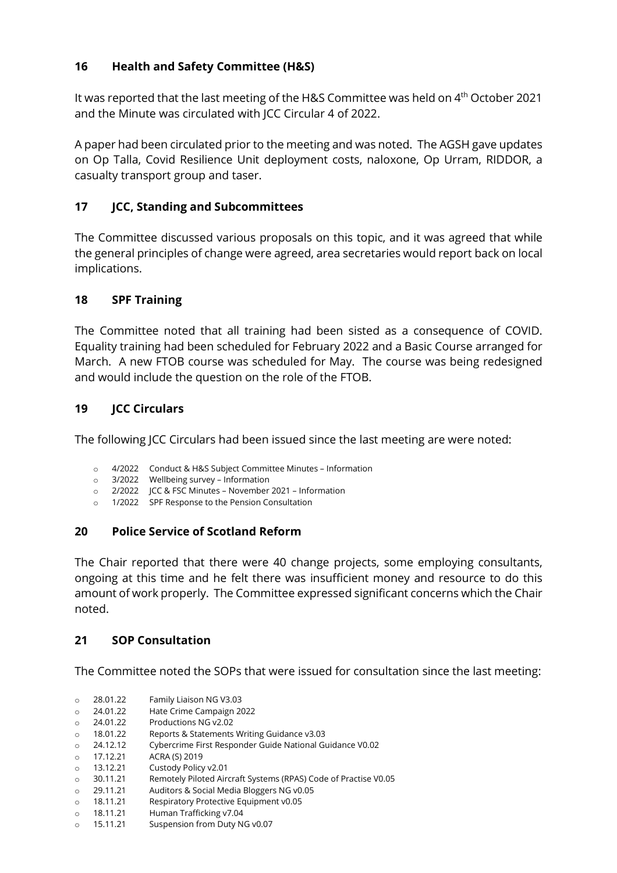## **16 Health and Safety Committee (H&S)**

It was reported that the last meeting of the H&S Committee was held on 4<sup>th</sup> October 2021 and the Minute was circulated with JCC Circular 4 of 2022.

A paper had been circulated prior to the meeting and was noted. The AGSH gave updates on Op Talla, Covid Resilience Unit deployment costs, naloxone, Op Urram, RIDDOR, a casualty transport group and taser.

## **17 JCC, Standing and Subcommittees**

The Committee discussed various proposals on this topic, and it was agreed that while the general principles of change were agreed, area secretaries would report back on local implications.

## **18 SPF Training**

The Committee noted that all training had been sisted as a consequence of COVID. Equality training had been scheduled for February 2022 and a Basic Course arranged for March. A new FTOB course was scheduled for May. The course was being redesigned and would include the question on the role of the FTOB.

## **19 JCC Circulars**

The following JCC Circulars had been issued since the last meeting are were noted:

- o 4/2022 Conduct & H&S Subject Committee Minutes Information
- o 3/2022 Wellbeing survey Information
- o 2/2022 JCC & FSC Minutes November 2021 Information
- o 1/2022 SPF Response to the Pension Consultation

## **20 Police Service of Scotland Reform**

The Chair reported that there were 40 change projects, some employing consultants, ongoing at this time and he felt there was insufficient money and resource to do this amount of work properly. The Committee expressed significant concerns which the Chair noted.

## **21 SOP Consultation**

The Committee noted the SOPs that were issued for consultation since the last meeting:

- o 28.01.22 Family Liaison NG V3.03
- o 24.01.22 Hate Crime Campaign 2022<br>
o 24.01.22 Productions NG v2.02
- 
- o 24.01.22 Productions NG v2.02 Reports & Statements Writing Guidance v3.03
- o 24.12.12 Cybercrime First Responder Guide National Guidance V0.02
- o 17.12.21 ACRA (S) 2019
- o 13.12.21 Custody Policy v2.01<br>
o 30.11.21 Remotely Piloted Aire
- o 30.11.21 Remotely Piloted Aircraft Systems (RPAS) Code of Practise V0.05
- o 29.11.21 Auditors & Social Media Bloggers NG v0.05
- o 18.11.21 Respiratory Protective Equipment v0.05
- o 18.11.21 Human Trafficking v7.04
- o 15.11.21 Suspension from Duty NG v0.07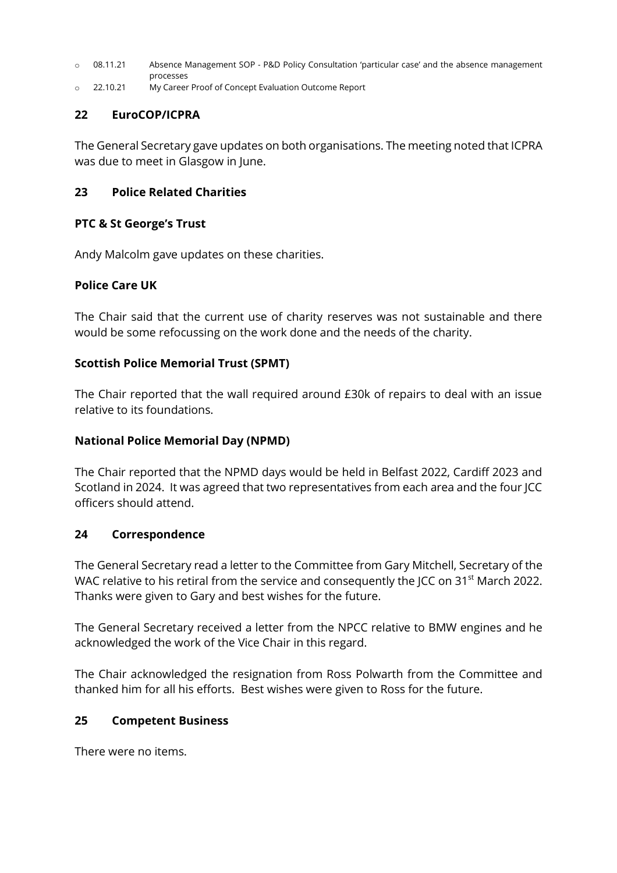- o 08.11.21 Absence Management SOP P&D Policy Consultation 'particular case' and the absence management processes
- o 22.10.21 My Career Proof of Concept Evaluation Outcome Report

### **22 EuroCOP/ICPRA**

The General Secretary gave updates on both organisations. The meeting noted that ICPRA was due to meet in Glasgow in June.

### **23 Police Related Charities**

### **PTC & St George's Trust**

Andy Malcolm gave updates on these charities.

## **Police Care UK**

The Chair said that the current use of charity reserves was not sustainable and there would be some refocussing on the work done and the needs of the charity.

### **Scottish Police Memorial Trust (SPMT)**

The Chair reported that the wall required around £30k of repairs to deal with an issue relative to its foundations.

### **National Police Memorial Day (NPMD)**

The Chair reported that the NPMD days would be held in Belfast 2022, Cardiff 2023 and Scotland in 2024. It was agreed that two representatives from each area and the four JCC officers should attend.

### **24 Correspondence**

The General Secretary read a letter to the Committee from Gary Mitchell, Secretary of the WAC relative to his retiral from the service and consequently the JCC on 31<sup>st</sup> March 2022. Thanks were given to Gary and best wishes for the future.

The General Secretary received a letter from the NPCC relative to BMW engines and he acknowledged the work of the Vice Chair in this regard.

The Chair acknowledged the resignation from Ross Polwarth from the Committee and thanked him for all his efforts. Best wishes were given to Ross for the future.

### **25 Competent Business**

There were no items.